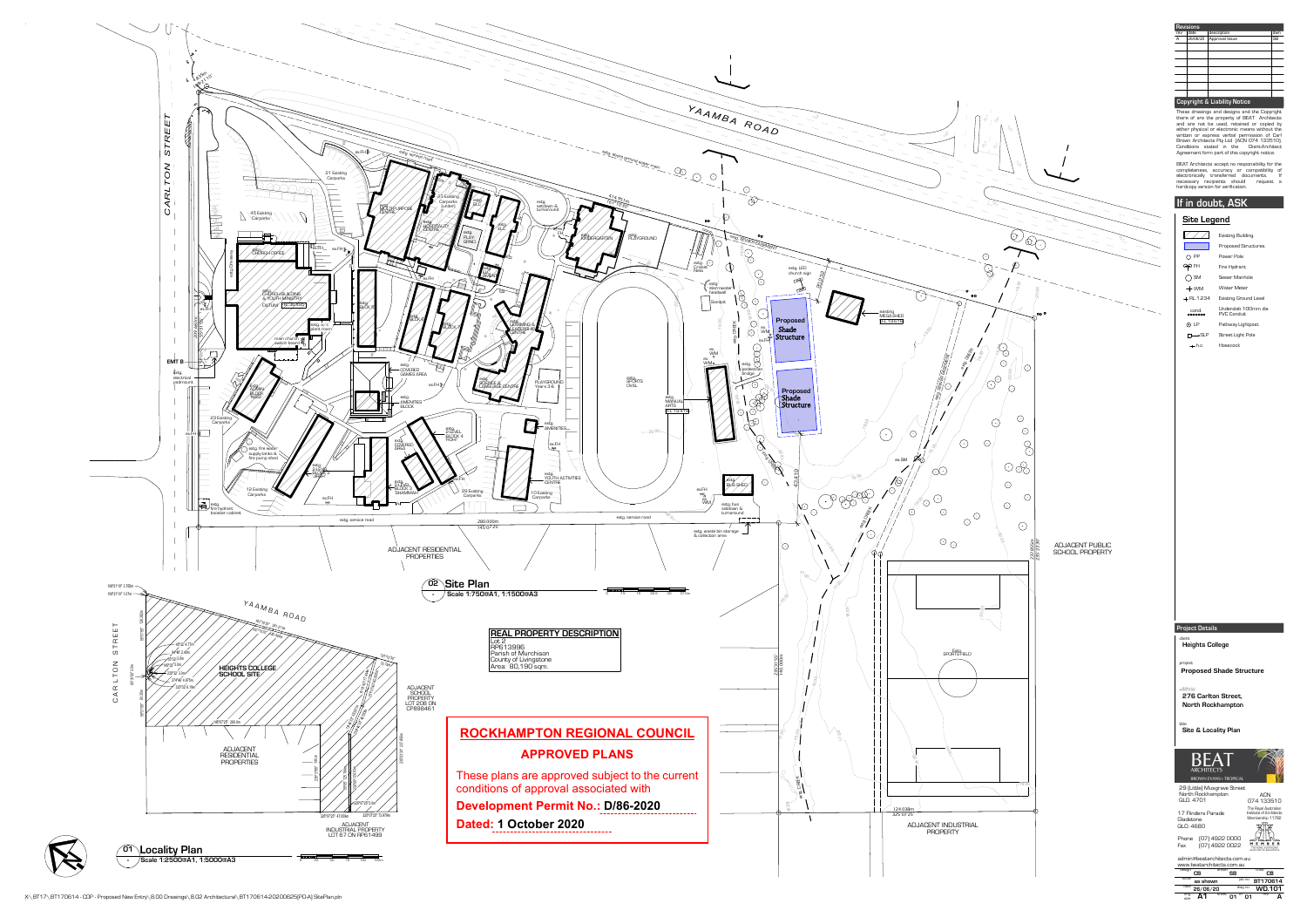| <b>Revisions</b> |                     |                |           |  |  |  |  |  |
|------------------|---------------------|----------------|-----------|--|--|--|--|--|
| rev              | description<br>date |                |           |  |  |  |  |  |
| A                | 26/06/20            | Approval Issue | <b>SB</b> |  |  |  |  |  |
|                  |                     |                |           |  |  |  |  |  |
|                  |                     |                |           |  |  |  |  |  |
|                  |                     |                |           |  |  |  |  |  |
|                  |                     |                |           |  |  |  |  |  |
|                  |                     |                |           |  |  |  |  |  |
|                  |                     |                |           |  |  |  |  |  |
|                  |                     |                |           |  |  |  |  |  |

| <u>e Legend</u> |                                           |  |  |  |  |
|-----------------|-------------------------------------------|--|--|--|--|
|                 | Existing Building.                        |  |  |  |  |
|                 | Proposed Structures.                      |  |  |  |  |
| РP              | Power Pole                                |  |  |  |  |
| FH              | Fire Hydrant                              |  |  |  |  |
| SM              | Sewer Manhole                             |  |  |  |  |
| WM              | Water Meter                               |  |  |  |  |
| $-1.234$        | <b>Existing Ground Level</b>              |  |  |  |  |
| ond.            | Underslab 100mm dia<br><b>PVC Conduit</b> |  |  |  |  |
| ΙP              | Pathway Lightpost                         |  |  |  |  |
| —•SLP           | Street Light Pole                         |  |  |  |  |
| - h.c.          | Hosecock                                  |  |  |  |  |
|                 |                                           |  |  |  |  |



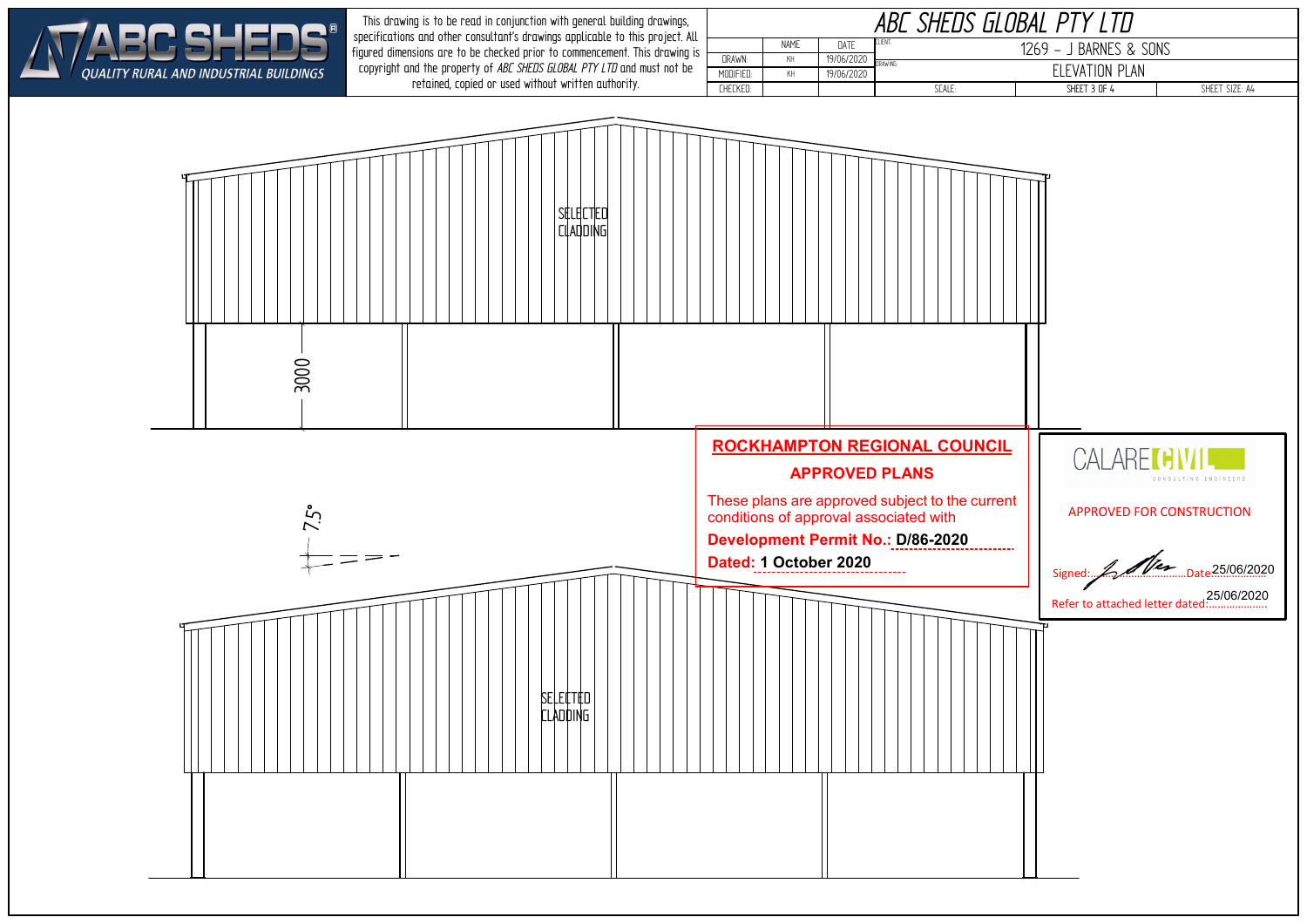